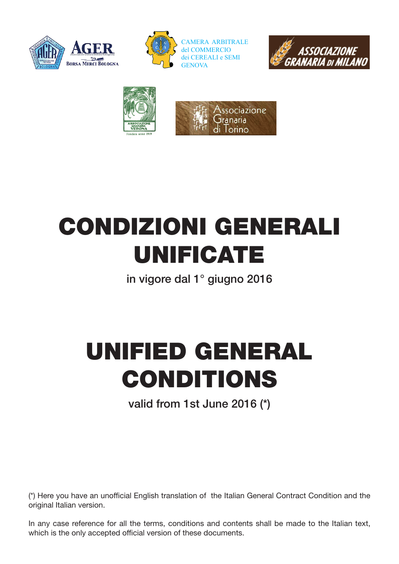







# CONDIZIONI GENERALI UNIFICATE

in vigore dal 1° giugno 2016

# UNIFIED GENERAL CONDITIONS

valid from 1st June 2016 (\*)

(\*) Here you have an unofficial English translation of the Italian General Contract Condition and the original Italian version.

In any case reference for all the terms, conditions and contents shall be made to the Italian text, which is the only accepted official version of these documents.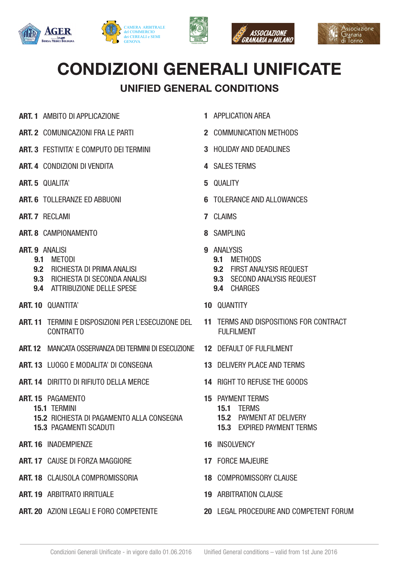







# CONDIZIONI GENERALI UNIFICATE

# UNIFIED GENERAL CONDITIONS

- ART. 1 AMBITO DI APPLICAZIONE
- ART. 2 COMUNICAZIONI FRA LE PARTI
- ART. 3 FESTIVITA' E COMPUTO DEI TERMINI
- ART. 4 CONDIZIONI DI VENDITA
- ART. 5 QUALITA'
- ART. 6 TOLLERANZE ED ABBUONI
- ART. 7 RECLAMI
- ART. 8 CAMPIONAMENTO
- ART. 9 ANALISI
	- 9.1 METODI
	- 9.2 RICHIESTA DI PRIMA ANALISI
	- 9.3 RICHIESTA DI SECONDA ANALISI
	- 9.4 ATTRIBUZIONE DELLE SPESE
- ART. 10 QUANTITA'
- ART. 11 TERMINI E DISPOSIZIONI PER L'ESECUZIONE DEL CONTRATTO
- ART. 12 MANCATA OSSERVANZA DEI TERMINI DI ESECUZIONE
- ART. 13 LUOGO E MODALITA' DI CONSEGNA
- ART. 14 DIRITTO DI RIFIUTO DELLA MERCE
- ART. 15 PAGAMENTO
	- 15.1 TERMINI
	- 15.2 RICHIESTA DI PAGAMENTO ALLA CONSEGNA 15.3 PAGAMENTI SCADUTI
- ART. 16 INADEMPIENZE
- ART. 17 CAUSE DI FORZA MAGGIORE
- ART. 18 CLAUSOLA COMPROMISSORIA
- ART. 19 ARBITRATO IRRITUALE
- ART. 20 AZIONI I FGALLE FORO COMPETENTE
- 1 APPLICATION AREA
- 2 COMMUNICATION METHODS
- 3 HOLIDAY AND DEADLINES
- 4 SALES TERMS
- 5 QUALITY
- 6 TOLERANCE AND ALLOWANCES
- 7 CLAIMS
- 8 SAMPLING
- 9 ANALYSIS
	- 9.1 METHODS
	- 9.2 FIRST ANALYSIS REQUEST
	- 9.3 SECOND ANALYSIS REQUEST
	- 9.4 CHARGES
- 10 **QUANTITY**
- 11 TERMS AND DISPOSITIONS FOR CONTRACT FULFILMENT
- 12 DEFAULT OF FULFILMENT
- 13 DELIVERY PLACE AND TERMS
- 14 RIGHT TO REFUSE THE GOODS
- 15 PAYMENT TERMS 15.1 TERMS 15.2 PAYMENT AT DELIVERY 15.3 EXPIRED PAYMENT TERMS
- 16 INSOLVENCY
- 17 FORCE MAJEURE
- 18 COMPROMISSORY CLAUSE
- 19 ARBITRATION CLAUSE
- 20 LEGAL PROCEDURE AND COMPETENT FORUM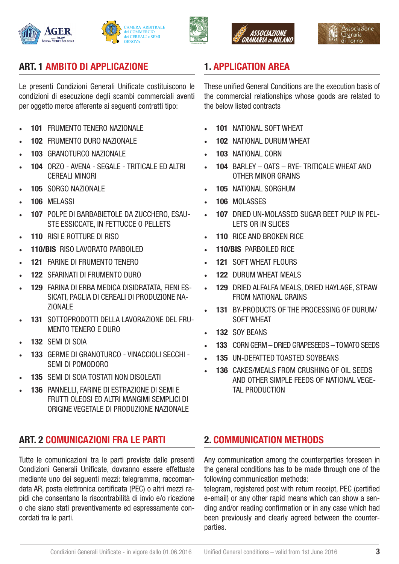









# ART. 1 AMBITO DI APPLICAZIONE

Le presenti Condizioni Generali Unificate costituiscono le condizioni di esecuzione degli scambi commerciali aventi per oggetto merce afferente ai seguenti contratti tipo:

- 101 FRUMENTO TENERO NAZIONALE
- 102 FRUMENTO DURO NAZIONALE
- 103 GRANOTURCO NAZIONALE
- 104 ORZO AVENA SEGALE TRITICALE ED ALTRI CEREALI MINORI
- 105 SORGO NAZIONALE
- 106 MFI ASSI
- 107 POLPE DI BARBABIETOLE DA ZUCCHERO, ESAU-STE ESSICCATE, IN FETTUCCE O PELLETS
- 110 RISI E ROTTURE DI RISO
- 110/BIS RISO LAVORATO PARBOILED
- 121 FARINE DI FRUMENTO TENERO
- 122 SFARINATI DI FRUMENTO DURO
- 129 FARINA DI ERBA MEDICA DISIDRATATA, FIENI ES-SICATI, PAGLIA DI CEREALI DI PRODUZIONE NA-ZIONALE
- 131 SOTTOPRODOTTI DELLA LAVORAZIONE DEL FRU-MENTO TENERO E DURO
- 132 SEMI DI SOIA
- 133 GERME DI GRANOTURCO VINACCIOLI SECCHI SEMI DI POMODORO
- 135 SEMI DI SOIA TOSTATI NON DISOLEATI
- 136 PANNELLI, FARINE DI ESTRAZIONE DI SEMI E FRUTTI OLEOSI ED ALTRI MANGIMI SEMPLICI DI ORIGINE VEGETALE DI PRODUZIONE NAZIONALE

# ART. 2 COMUNICAZIONI FRA LE PARTI

Tutte le comunicazioni tra le parti previste dalle presenti Condizioni Generali Unificate, dovranno essere effettuate mediante uno dei seguenti mezzi: telegramma, raccomandata AR, posta elettronica certificata (PEC) o altri mezzi rapidi che consentano la riscontrabilità di invio e/o ricezione o che siano stati preventivamente ed espressamente concordati tra le parti.

# 1. APPLICATION AREA

These unified General Conditions are the execution basis of the commercial relationships whose goods are related to the below listed contracts

- 101 NATIONAL SOFT WHEAT
- 102 NATIONAL DURUM WHEAT
- 103 NATIONAL CORN
- 104 BARLEY OATS RYE- TRITICALE WHEAT AND OTHER MINOR GRAINS
- 105 NATIONAL SORGHUM
- 106 MOLASSES
- 107 DRIED UN-MOLASSED SUGAR BEET PULP IN PEL-LETS OR IN SLICES
- 110 RICE AND BROKEN RICE
- 110/BIS PARBOILED RICE
- 121 SOFT WHEAT FLOURS
- 122 DURUM WHEAT MEALS
- 129 DRIED ALFALFA MEALS, DRIED HAYLAGE, STRAW FROM NATIONAL GRAINS
- 131 BY-PRODUCTS OF THE PROCESSING OF DURUM/ SOFT WHEAT
- 132 SOY BEANS
- 133 CORN GERM DRIED GRAPESEEDS TOMATO SEEDS
- 135 UN-DEFATTED TOASTED SOYBEANS
- 136 CAKES/MEALS FROM CRUSHING OF OIL SEEDS AND OTHER SIMPLE FEEDS OF NATIONAL VEGE-TAL PRODUCTION

#### 2. COMMUNICATION METHODS

Any communication among the counterparties foreseen in the general conditions has to be made through one of the following communication methods:

telegram, registered post with return receipt, PEC (certified e-email) or any other rapid means which can show a sending and/or reading confirmation or in any case which had been previously and clearly agreed between the counterparties.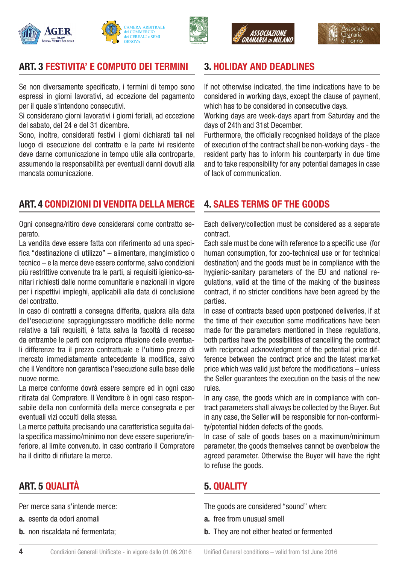









#### ART. 3 FESTIVITA' E COMPUTO DEI TERMINI

Se non diversamente specificato, i termini di tempo sono espressi in giorni lavorativi, ad eccezione del pagamento per il quale s'intendono consecutivi.

Si considerano giorni lavorativi i giorni feriali, ad eccezione del sabato, del 24 e del 31 dicembre.

Sono, inoltre, considerati festivi i giorni dichiarati tali nel luogo di esecuzione del contratto e la parte ivi residente deve darne comunicazione in tempo utile alla controparte, assumendo la responsabilità per eventuali danni dovuti alla mancata comunicazione.

#### 3. HOLIDAY AND DEADLINES

If not otherwise indicated, the time indications have to be considered in working days, except the clause of payment, which has to be considered in consecutive days.

Working days are week-days apart from Saturday and the days of 24th and 31st December.

Furthermore, the officially recognised holidays of the place of execution of the contract shall be non-working days - the resident party has to inform his counterparty in due time and to take responsibility for any potential damages in case of lack of communication.

#### ART. 4 CONDIZIONI DI VENDITA DELLA MERCE

Ogni consegna/ritiro deve considerarsi come contratto separato.

La vendita deve essere fatta con riferimento ad una specifica "destinazione di utilizzo" – alimentare, mangimistico o tecnico – e la merce deve essere conforme, salvo condizioni più restrittive convenute tra le parti, ai requisiti igienico-sanitari richiesti dalle norme comunitarie e nazionali in vigore per i rispettivi impieghi, applicabili alla data di conclusione del contratto.

In caso di contratti a consegna differita, qualora alla data dell'esecuzione sopraggiungessero modifiche delle norme relative a tali requisiti, è fatta salva la facoltà di recesso da entrambe le parti con reciproca rifusione delle eventuali differenze tra il prezzo contrattuale e l'ultimo prezzo di mercato immediatamente antecedente la modifica, salvo che il Venditore non garantisca l'esecuzione sulla base delle nuove norme.

La merce conforme dovrà essere sempre ed in ogni caso ritirata dal Compratore. Il Venditore è in ogni caso responsabile della non conformità della merce consegnata e per eventuali vizi occulti della stessa.

La merce pattuita precisando una caratteristica seguita dalla specifica massimo/minimo non deve essere superiore/inferiore, al limite convenuto. In caso contrario il Compratore ha il diritto di rifiutare la merce.

# ART. 5 QUALITÀ

Per merce sana s'intende merce:

- a. esente da odori anomali
- b. non riscaldata né fermentata;

#### 4. SALES TERMS OF THE GOODS

Each delivery/collection must be considered as a separate contract.

Each sale must be done with reference to a specific use (for human consumption, for zoo-technical use or for technical destination) and the goods must be in compliance with the hygienic-sanitary parameters of the EU and national regulations, valid at the time of the making of the business contract, if no stricter conditions have been agreed by the parties.

In case of contracts based upon postponed deliveries, if at the time of their execution some modifications have been made for the parameters mentioned in these regulations, both parties have the possibilities of cancelling the contract with reciprocal acknowledgment of the potential price difference between the contract price and the latest market price which was valid just before the modifications – unless the Seller guarantees the execution on the basis of the new rules.

In any case, the goods which are in compliance with contract parameters shall always be collected by the Buyer. But in any case, the Seller will be responsible for non-conformity/potential hidden defects of the goods.

In case of sale of goods bases on a maximum/minimum parameter, the goods themselves cannot be over/below the agreed parameter. Otherwise the Buyer will have the right to refuse the goods.

#### 5. QUALITY

The goods are considered "sound" when:

- a. free from unusual smell
- **b.** They are not either heated or fermented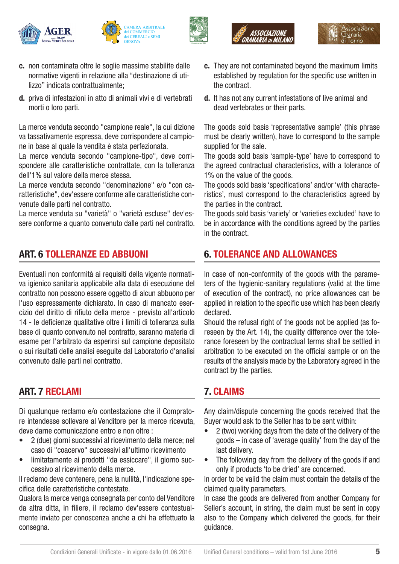









- c. non contaminata oltre le soglie massime stabilite dalle normative vigenti in relazione alla "destinazione di utilizzo" indicata contrattualmente;
- d. priva di infestazioni in atto di animali vivi e di vertebrati morti o loro parti.

La merce venduta secondo "campione reale", la cui dizione va tassativamente espressa, deve corrispondere al campione in base al quale la vendita è stata perfezionata.

La merce venduta secondo "campione-tipo", deve corrispondere alle caratteristiche contrattate, con la tolleranza dell'1% sul valore della merce stessa.

La merce venduta secondo "denominazione" e/o "con caratteristiche", dev'essere conforme alle caratteristiche convenute dalle parti nel contratto.

La merce venduta su "varietà" o "varietà escluse" dev'essere conforme a quanto convenuto dalle parti nel contratto.

# ART. 6 TOLLERANZE ED ABBUONI

Eventuali non conformità ai requisiti della vigente normativa igienico sanitaria applicabile alla data di esecuzione del contratto non possono essere oggetto di alcun abbuono per l'uso espressamente dichiarato. In caso di mancato esercizio del diritto di rifiuto della merce - previsto all'articolo 14 - le deficienze qualitative oltre i limiti di tolleranza sulla base di quanto convenuto nel contratto, saranno materia di esame per l'arbitrato da esperirsi sul campione depositato o sui risultati delle analisi eseguite dal Laboratorio d'analisi convenuto dalle parti nel contratto.

#### ART. 7 RECLAMI

Di qualunque reclamo e/o contestazione che il Compratore intendesse sollevare al Venditore per la merce ricevuta, deve darne comunicazione entro e non oltre :

- 2 (due) giorni successivi al ricevimento della merce; nel caso di "coacervo" successivi all'ultimo ricevimento
- limitatamente ai prodotti "da essiccare", il giorno successivo al ricevimento della merce.

Il reclamo deve contenere, pena la nullità, l'indicazione specifica delle caratteristiche contestate.

Qualora la merce venga consegnata per conto del Venditore da altra ditta, in filiere, il reclamo dev'essere contestualmente inviato per conoscenza anche a chi ha effettuato la consegna.

- c. They are not contaminated beyond the maximum limits established by regulation for the specific use written in the contract.
- d. It has not any current infestations of live animal and dead vertebrates or their parts.

The goods sold basis 'representative sample' (this phrase must be clearly written), have to correspond to the sample supplied for the sale.

The goods sold basis 'sample-type' have to correspond to the agreed contractual characteristics, with a tolerance of 1% on the value of the goods.

The goods sold basis 'specifications' and/or 'with characteristics', must correspond to the characteristics agreed by the parties in the contract.

The goods sold basis 'variety' or 'varieties excluded' have to be in accordance with the conditions agreed by the parties in the contract.

#### 6. TOLERANCE AND ALLOWANCES

In case of non-conformity of the goods with the parameters of the hygienic-sanitary regulations (valid at the time of execution of the contract), no price allowances can be applied in relation to the specific use which has been clearly declared.

Should the refusal right of the goods not be applied (as foreseen by the Art. 14), the quality difference over the tolerance foreseen by the contractual terms shall be settled in arbitration to be executed on the official sample or on the results of the analysis made by the Laboratory agreed in the contract by the parties.

#### 7. CLAIMS

Any claim/dispute concerning the goods received that the Buyer would ask to the Seller has to be sent within:

- 2 (two) working days from the date of the delivery of the goods – in case of 'average quality' from the day of the last delivery.
- The following day from the delivery of the goods if and only if products 'to be dried' are concerned.

In order to be valid the claim must contain the details of the claimed quality parameters.

In case the goods are delivered from another Company for Seller's account, in string, the claim must be sent in copy also to the Company which delivered the goods, for their guidance.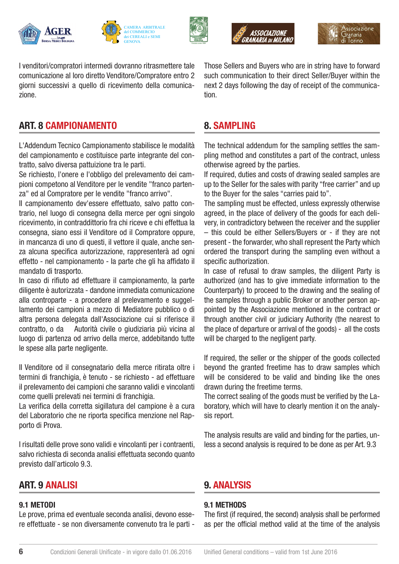







I venditori/compratori intermedi dovranno ritrasmettere tale comunicazione al loro diretto Venditore/Compratore entro 2 giorni successivi a quello di ricevimento della comunicazione.

# ART. 8 CAMPIONAMENTO

L'Addendum Tecnico Campionamento stabilisce le modalità del campionamento e costituisce parte integrante del contratto, salvo diversa pattuizione tra le parti.

Se richiesto, l'onere e l'obbligo del prelevamento dei campioni competono al Venditore per le vendite "franco partenza" ed al Compratore per le vendite "franco arrivo".

Il campionamento dev'essere effettuato, salvo patto contrario, nel luogo di consegna della merce per ogni singolo ricevimento, in contraddittorio fra chi riceve e chi effettua la consegna, siano essi il Venditore od il Compratore oppure, in mancanza di uno di questi, il vettore il quale, anche senza alcuna specifica autorizzazione, rappresenterà ad ogni effetto - nel campionamento - la parte che gli ha affidato il mandato di trasporto.

In caso di rifiuto ad effettuare il campionamento, la parte diligente è autorizzata - dandone immediata comunicazione alla controparte - a procedere al prelevamento e suggellamento dei campioni a mezzo di Mediatore pubblico o di altra persona delegata dall'Associazione cui si riferisce il contratto, o da Autorità civile o giudiziaria più vicina al luogo di partenza od arrivo della merce, addebitando tutte le spese alla parte negligente.

Il Venditore od il consegnatario della merce ritirata oltre i termini di franchigia, è tenuto - se richiesto - ad effettuare il prelevamento dei campioni che saranno validi e vincolanti come quelli prelevati nei termini di franchigia.

La verifica della corretta sigillatura del campione è a cura del Laboratorio che ne riporta specifica menzione nel Rapporto di Prova.

I risultati delle prove sono validi e vincolanti per i contraenti, salvo richiesta di seconda analisi effettuata secondo quanto previsto dall'articolo 9.3.

#### ART. 9 ANALISI

#### 9.1 METODI

Le prove, prima ed eventuale seconda analisi, devono essere effettuate - se non diversamente convenuto tra le parti -

Those Sellers and Buyers who are in string have to forward such communication to their direct Seller/Buyer within the next 2 days following the day of receipt of the communication.

#### 8. SAMPLING

The technical addendum for the sampling settles the sampling method and constitutes a part of the contract, unless otherwise agreed by the parties.

If required, duties and costs of drawing sealed samples are up to the Seller for the sales with parity "free carrier" and up to the Buyer for the sales "carries paid to".

The sampling must be effected, unless expressly otherwise agreed, in the place of delivery of the goods for each delivery, in contradictory between the receiver and the supplier – this could be either Sellers/Buyers or - if they are not present - the forwarder, who shall represent the Party which ordered the transport during the sampling even without a specific authorization.

In case of refusal to draw samples, the diligent Party is authorized (and has to give immediate information to the Counterparty) to proceed to the drawing and the sealing of the samples through a public Broker or another person appointed by the Associazione mentioned in the contract or through another civil or judiciary Authority (the nearest to the place of departure or arrival of the goods) - all the costs will be charged to the negligent party.

If required, the seller or the shipper of the goods collected beyond the granted freetime has to draw samples which will be considered to be valid and binding like the ones drawn during the freetime terms.

The correct sealing of the goods must be verified by the Laboratory, which will have to clearly mention it on the analysis report.

The analysis results are valid and binding for the parties, unless a second analysis is required to be done as per Art. 9.3

# 9. ANALYSIS

#### 9.1 METHODS

The first (if required, the second) analysis shall be performed as per the official method valid at the time of the analysis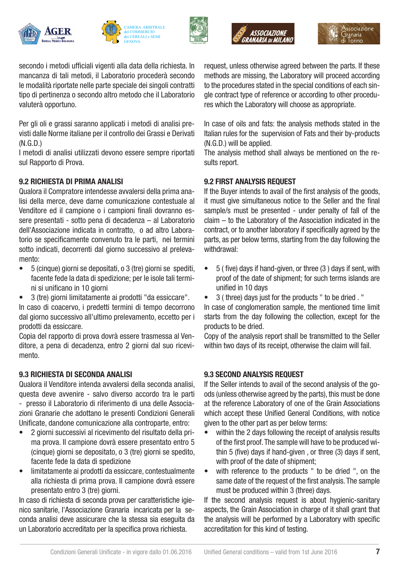







secondo i metodi ufficiali vigenti alla data della richiesta. In mancanza di tali metodi, il Laboratorio procederà secondo le modalità riportate nelle parte speciale dei singoli contratti tipo di pertinenza o secondo altro metodo che il Laboratorio valuterà opportuno.

Per gli oli e grassi saranno applicati i metodi di analisi previsti dalle Norme italiane per il controllo dei Grassi e Derivati (N.G.D.)

I metodi di analisi utilizzati devono essere sempre riportati sul Rapporto di Prova.

#### 9.2 RICHIESTA DI PRIMA ANALISI

Qualora il Compratore intendesse avvalersi della prima analisi della merce, deve darne comunicazione contestuale al Venditore ed il campione o i campioni finali dovranno essere presentati - sotto pena di decadenza – al Laboratorio dell'Associazione indicata in contratto, o ad altro Laboratorio se specificamente convenuto tra le parti, nei termini sotto indicati, decorrenti dal giorno successivo al prelevamento:

- 5 (cinque) giorni se depositati, o 3 (tre) giorni se spediti, facente fede la data di spedizione; per le isole tali termini si unificano in 10 giorni
- 3 (tre) giorni limitatamente ai prodotti "da essiccare".

In caso di coacervo, i predetti termini di tempo decorrono dal giorno successivo all'ultimo prelevamento, eccetto per i prodotti da essiccare.

Copia del rapporto di prova dovrà essere trasmessa al Venditore, a pena di decadenza, entro 2 giorni dal suo ricevimento.

#### 9.3 RICHIESTA DI SECONDA ANALISI

Qualora il Venditore intenda avvalersi della seconda analisi, questa deve avvenire - salvo diverso accordo tra le parti - presso il Laboratorio di riferimento di una delle Associazioni Granarie che adottano le presenti Condizioni Generali

Unificate, dandone comunicazione alla controparte, entro:

- 2 giorni successivi al ricevimento del risultato della prima prova. Il campione dovrà essere presentato entro 5 (cinque) giorni se depositato, o 3 (tre) giorni se spedito, facente fede la data di spedizione
- limitatamente ai prodotti da essiccare, contestualmente alla richiesta di prima prova. Il campione dovrà essere presentato entro 3 (tre) giorni.

In caso di richiesta di seconda prova per caratteristiche igienico sanitarie, l'Associazione Granaria incaricata per la seconda analisi deve assicurare che la stessa sia eseguita da un Laboratorio accreditato per la specifica prova richiesta.

request, unless otherwise agreed between the parts. If these methods are missing, the Laboratory will proceed according to the procedures stated in the special conditions of each single contract type of reference or according to other procedures which the Laboratory will choose as appropriate.

In case of oils and fats: the analysis methods stated in the Italian rules for the supervision of Fats and their by-products (N.G.D.) will be applied.

The analysis method shall always be mentioned on the results report.

#### 9.2 FIRST ANALYSIS REQUEST

If the Buyer intends to avail of the first analysis of the goods, it must give simultaneous notice to the Seller and the final sample/s must be presented - under penalty of fall of the claim – to the Laboratory of the Association indicated in the contract, or to another laboratory if specifically agreed by the parts, as per below terms, starting from the day following the withdrawal:

- 5 ( five) days if hand-given, or three (3 ) days if sent, with proof of the date of shipment; for such terms islands are unified in 10 days
- 3 ( three) days just for the products " to be dried . "

In case of conglomeration sample, the mentioned time limit starts from the day following the collection, except for the products to be dried.

Copy of the analysis report shall be transmitted to the Seller within two days of its receipt, otherwise the claim will fail.

#### 9.3 SECOND ANALYSIS REQUEST

If the Seller intends to avail of the second analysis of the goods (unless otherwise agreed by the parts), this must be done at the reference Laboratory of one of the Grain Associations which accept these Unified General Conditions, with notice given to the other part as per below terms:

- within the 2 days following the receipt of analysis results of the first proof. The sample will have to be produced within 5 (five) days if hand-given , or three (3) days if sent, with proof of the date of shipment;
- with reference to the products " to be dried ", on the same date of the request of the first analysis. The sample must be produced within 3 (three) days.

If the second analysis request is about hygienic-sanitary aspects, the Grain Association in charge of it shall grant that the analysis will be performed by a Laboratory with specific accreditation for this kind of testing.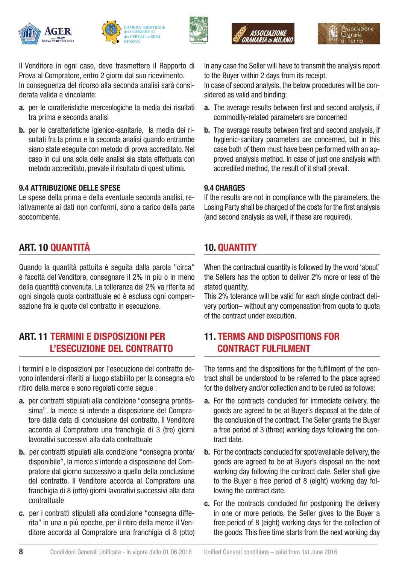







Il Venditore in ogni caso, deve trasmettere il Rapporto di Prova al Compratore, entro 2 giorni dal suo ricevimento. In conseguenza del ricorso alla seconda analisi sarà considerata valida e vincolante:

- a. per le caratteristiche merceologiche la media dei risultati tra prima e seconda analisi
- b. per le caratteristiche igienico-sanitarie, la media dei risultati fra la prima e la seconda analisi quando entrambe siano state eseguite con metodo di prova accreditato. Nel caso in cui una sola delle analisi sia stata effettuata con metodo accreditato, prevale il risultato di quest'ultima.

#### 9.4 ATTRIBUZIONE DELLE SPESE

Le spese della prima e della eventuale seconda analisi, relativamente ai dati non conformi, sono a carico della parte soccombente.

# ART. 10 QUANTITÀ

Quando la quantità pattuita è seguita dalla parola "circa" è facoltà del Venditore, consegnare il 2% in più o in meno della quantità convenuta. La tolleranza del 2% va riferita ad ogni singola quota contrattuale ed è esclusa ogni compensazione fra le quote del contratto in esecuzione.

#### ART. 11 TERMINI E DISPOSIZIONI PER L'ESECUZIONE DEL CONTRATTO

I termini e le disposizioni per l'esecuzione del contratto devono intendersi riferiti al luogo stabilito per la consegna e/o ritiro della merce e sono regolati come segue :

- a. per contratti stipulati alla condizione "consegna prontissima", la merce si intende a disposizione del Compratore dalla data di conclusione del contratto. Il Venditore accorda al Compratore una franchigia di 3 (tre) giorni lavorativi successivi alla data contrattuale
- b. per contratti stipulati alla condizione "consegna pronta/ disponibile", la merce s'intende a disposizione del Compratore dal giorno successivo a quello della conclusione del contratto. Il Venditore accorda al Compratore una franchigia di 8 (otto) giorni lavorativi successivi alla data contrattuale
- c. per i contratti stipulati alla condizione "consegna differita" in una o più epoche, per il ritiro della merce il Venditore accorda al Compratore una franchigia di 8 (otto)

In any case the Seller will have to transmit the analysis report to the Buyer within 2 days from its receipt.

In case of second analysis, the below procedures will be considered as valid and binding:

- a. The average results between first and second analysis, if commodity-related parameters are concerned
- **b.** The average results between first and second analysis, if hygienic-sanitary parameters are concerned, but in this case both of them must have been performed with an approved analysis method. In case of just one analysis with accredited method, the result of it shall prevail.

#### 9.4 CHARGES

If the results are not in compliance with the parameters, the Losing Party shall be charged of the costs for the first analysis (and second analysis as well, if these are required).

# 10. QUANTITY

When the contractual quantity is followed by the word 'about' the Sellers has the option to deliver 2% more or less of the stated quantity.

This 2% tolerance will be valid for each single contract delivery portion– without any compensation from quota to quota of the contract under execution.

#### 11. TERMS AND DISPOSITIONS FOR CONTRACT FULFILMENT

The terms and the dispositions for the fulfilment of the contract shall be understood to be referred to the place agreed for the delivery and/or collection and to be ruled as follows:

- a. For the contracts concluded for immediate delivery, the goods are agreed to be at Buyer's disposal at the date of the conclusion of the contract. The Seller grants the Buyer a free period of 3 (three) working days following the contract date.
- b. For the contracts concluded for spot/available delivery, the goods are agreed to be at Buyer's disposal on the next working day following the contract date. Seller shall give to the Buyer a free period of 8 (eight) working day following the contract date.
- c. For the contracts concluded for postponing the delivery in one or more periods, the Seller gives to the Buyer a free period of 8 (eight) working days for the collection of the goods. This free time starts from the next working day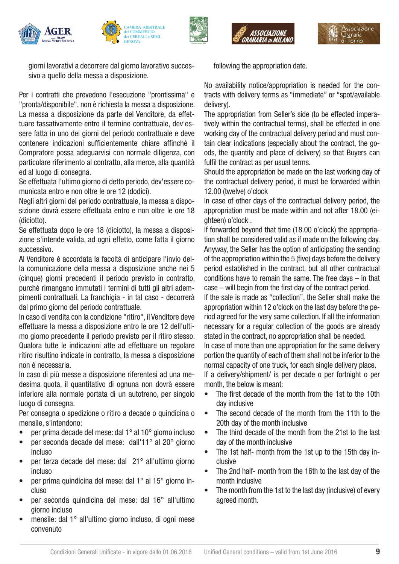









giorni lavorativi a decorrere dal giorno lavorativo successivo a quello della messa a disposizione.

Per i contratti che prevedono l'esecuzione "prontissima" e "pronta/disponibile", non è richiesta la messa a disposizione. La messa a disposizione da parte del Venditore, da effettuare tassativamente entro il termine contrattuale, dev'essere fatta in uno dei giorni del periodo contrattuale e deve contenere indicazioni sufficientemente chiare affinché il Compratore possa adeguarvisi con normale diligenza, con particolare riferimento al contratto, alla merce, alla quantità ed al luogo di consegna.

Se effettuata l'ultimo giorno di detto periodo, dev'essere comunicata entro e non oltre le ore 12 (dodici).

Negli altri giorni del periodo contrattuale, la messa a disposizione dovrà essere effettuata entro e non oltre le ore 18 (diciotto).

Se effettuata dopo le ore 18 (diciotto), la messa a disposizione s'intende valida, ad ogni effetto, come fatta il giorno successivo.

Al Venditore è accordata la facoltà di anticipare l'invio della comunicazione della messa a disposizione anche nei 5 (cinque) giorni precedenti il periodo previsto in contratto, purché rimangano immutati i termini di tutti gli altri adempimenti contrattuali. La franchigia - in tal caso - decorrerà dal primo giorno del periodo contrattuale.

In caso di vendita con la condizione "ritiro", il Venditore deve effettuare la messa a disposizione entro le ore 12 dell'ultimo giorno precedente il periodo previsto per il ritiro stesso. Qualora tutte le indicazioni atte ad effettuare un regolare ritiro risultino indicate in contratto, la messa a disposizione non è necessaria.

In caso di più messe a disposizione riferentesi ad una medesima quota, il quantitativo di ognuna non dovrà essere inferiore alla normale portata di un autotreno, per singolo luogo di consegna.

Per consegna o spedizione o ritiro a decade o quindicina o mensile, s'intendono:

- per prima decade del mese: dal 1° al 10° giorno incluso
- per seconda decade del mese: dall'11° al 20° giorno incluso
- per terza decade del mese: dal 21° all'ultimo giorno incluso
- per prima quindicina del mese: dal 1° al 15° giorno incluso
- per seconda quindicina del mese: dal 16° all'ultimo giorno incluso
- mensile: dal 1° all'ultimo giorno incluso, di ogni mese convenuto

following the appropriation date.

No availability notice/appropriation is needed for the contracts with delivery terms as "immediate" or "spot/available delivery).

The appropriation from Seller's side (to be effected imperatively within the contractual terms), shall be effected in one working day of the contractual delivery period and must contain clear indications (especially about the contract, the goods, the quantity and place of delivery) so that Buyers can fulfil the contract as per usual terms.

Should the appropriation be made on the last working day of the contractual delivery period, it must be forwarded within 12.00 (twelve) o'clock

In case of other days of the contractual delivery period, the appropriation must be made within and not after 18.00 (eighteen) o'clock .

If forwarded beyond that time (18.00 o'clock) the appropriation shall be considered valid as if made on the following day. Anyway, the Seller has the option of anticipating the sending of the appropriation within the 5 (five) days before the delivery period established in the contract, but all other contractual conditions have to remain the same. The free days – in that case – will begin from the first day of the contract period.

If the sale is made as "collection", the Seller shall make the appropriation within 12 o'clock on the last day before the period agreed for the very same collection. If all the information necessary for a regular collection of the goods are already stated in the contract, no appropriation shall be needed.

In case of more than one appropriation for the same delivery portion the quantity of each of them shall not be inferior to the normal capacity of one truck, for each single delivery place.

If a delivery/shipment/ is per decade o per fortnight o per month, the below is meant:

- The first decade of the month from the 1st to the 10th day inclusive
- The second decade of the month from the 11th to the 20th day of the month inclusive
- The third decade of the month from the 21st to the last day of the month inclusive
- The 1st half- month from the 1st up to the 15th day inclusive
- The 2nd half- month from the 16th to the last day of the month inclusive
- The month from the 1st to the last day (inclusive) of every agreed month.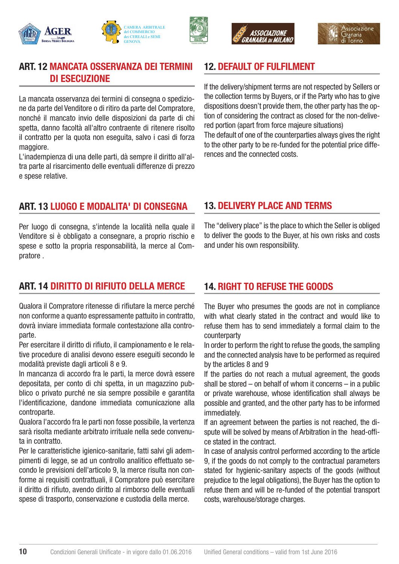

CAMERA ARBITRALE del COMMERCIO dei CEREALI e SEMI **GENOVA** 

il contratto per la quota non eseguita, salvo i casi di forza maggiore.

ART. 12 MANCATA OSSERVANZA DEI TERMINI

La mancata osservanza dei termini di consegna o spedizio-

DI ESECUZIONE

L'inadempienza di una delle parti, dà sempre il diritto all'altra parte al risarcimento delle eventuali differenze di prezzo e spese relative.

### 12. DEFAULT OF FULFILMENT

ASSOCIAZIONE

If the delivery/shipment terms are not respected by Sellers or the collection terms by Buyers, or if the Party who has to give dispositions doesn't provide them, the other party has the option of considering the contract as closed for the non-delivered portion (apart from force majeure situations) The default of one of the counterparties always gives the right to the other party to be re-funded for the potential price differences and the connected costs.

# ART. 13 LUOGO E MODALITA' DI CONSEGNA

Per luogo di consegna, s'intende la località nella quale il Venditore si è obbligato a consegnare, a proprio rischio e spese e sotto la propria responsabilità, la merce al Compratore .

#### 13. DELIVERY PLACE AND TERMS

The "delivery place" is the place to which the Seller is obliged to deliver the goods to the Buyer, at his own risks and costs and under his own responsibility.

# ART. 14 DIRITTO DI RIFIUTO DELLA MERCE

Qualora il Compratore ritenesse di rifiutare la merce perché non conforme a quanto espressamente pattuito in contratto, dovrà inviare immediata formale contestazione alla controparte.

Per esercitare il diritto di rifiuto, il campionamento e le relative procedure di analisi devono essere eseguiti secondo le modalità previste dagli articoli 8 e 9.

In mancanza di accordo fra le parti, la merce dovrà essere depositata, per conto di chi spetta, in un magazzino pubblico o privato purché ne sia sempre possibile e garantita l'identificazione, dandone immediata comunicazione alla controparte.

Qualora l'accordo fra le parti non fosse possibile, la vertenza sarà risolta mediante arbitrato irrituale nella sede convenuta in contratto.

Per le caratteristiche igienico-sanitarie, fatti salvi gli adempimenti di legge, se ad un controllo analitico effettuato secondo le previsioni dell'articolo 9, la merce risulta non conforme ai requisiti contrattuali, il Compratore può esercitare il diritto di rifiuto, avendo diritto al rimborso delle eventuali spese di trasporto, conservazione e custodia della merce.

10

#### 14. RIGHT TO REFUSE THE GOODS

The Buyer who presumes the goods are not in compliance with what clearly stated in the contract and would like to refuse them has to send immediately a formal claim to the counterparty

In order to perform the right to refuse the goods, the sampling and the connected analysis have to be performed as required by the articles 8 and 9

If the parties do not reach a mutual agreement, the goods shall be stored – on behalf of whom it concerns – in a public or private warehouse, whose identification shall always be possible and granted, and the other party has to be informed immediately.

If an agreement between the parties is not reached, the dispute will be solved by means of Arbitration in the head-office stated in the contract.

In case of analysis control performed according to the article 9, if the goods do not comply to the contractual parameters stated for hygienic-sanitary aspects of the goods (without prejudice to the legal obligations), the Buyer has the option to refuse them and will be re-funded of the potential transport costs, warehouse/storage charges.



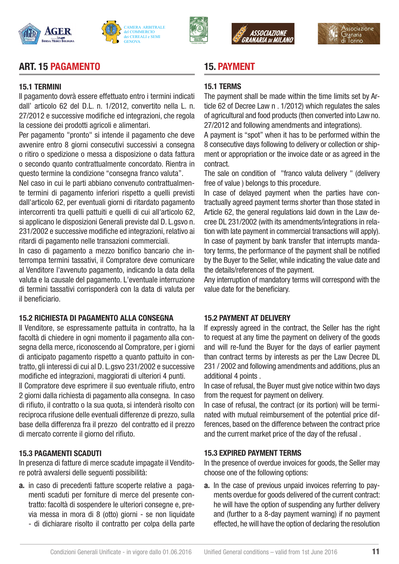







# ART. 15 PAGAMENTO

#### 15.1 TERMINI

Il pagamento dovrà essere effettuato entro i termini indicati dall' articolo 62 del D.L. n. 1/2012, convertito nella L. n. 27/2012 e successive modifiche ed integrazioni, che regola la cessione dei prodotti agricoli e alimentari.

Per pagamento "pronto" si intende il pagamento che deve avvenire entro 8 giorni consecutivi successivi a consegna o ritiro o spedizione o messa a disposizione o data fattura o secondo quanto contrattualmente concordato. Rientra in questo termine la condizione "consegna franco valuta".

Nel caso in cui le parti abbiano convenuto contrattualmente termini di pagamento inferiori rispetto a quelli previsti dall'articolo 62, per eventuali giorni di ritardato pagamento intercorrenti tra quelli pattuiti e quelli di cui all'articolo 62, si applicano le disposizioni Generali previste dal D. L.gsvo n. 231/2002 e successive modifiche ed integrazioni, relativo ai ritardi di pagamento nelle transazioni commerciali.

In caso di pagamento a mezzo bonifico bancario che interrompa termini tassativi, il Compratore deve comunicare al Venditore l'avvenuto pagamento, indicando la data della valuta e la causale del pagamento. L'eventuale interruzione di termini tassativi corrisponderà con la data di valuta per il beneficiario.

#### 15.2 RICHIESTA DI PAGAMENTO ALLA CONSEGNA

Il Venditore, se espressamente pattuita in contratto, ha la facoltà di chiedere in ogni momento il pagamento alla consegna della merce, riconoscendo al Compratore, per i giorni di anticipato pagamento rispetto a quanto pattuito in contratto, gli interessi di cui al D. L.gsvo 231/2002 e successive modifiche ed integrazioni, maggiorati di ulteriori 4 punti.

Il Compratore deve esprimere il suo eventuale rifiuto, entro 2 giorni dalla richiesta di pagamento alla consegna. In caso di rifiuto, il contratto o la sua quota, si intenderà risolto con reciproca rifusione delle eventuali differenze di prezzo, sulla base della differenza fra il prezzo del contratto ed il prezzo di mercato corrente il giorno del rifiuto.

#### 15.3 PAGAMENTI SCADUTI

In presenza di fatture di merce scadute impagate il Venditore potrà avvalersi delle seguenti possibilità:

- a. in caso di precedenti fatture scoperte relative a pagamenti scaduti per forniture di merce del presente contratto: facoltà di sospendere le ulteriori consegne e, previa messa in mora di 8 (otto) giorni - se non liquidate
	- di dichiarare risolto il contratto per colpa della parte

#### 15. PAYMENT

#### 15.1 TERMS

The payment shall be made within the time limits set by Article 62 of Decree Law n . 1/2012) which regulates the sales of agricultural and food products (then converted into Law no. 27/2012 and following amendments and integrations).

A payment is "spot" when it has to be performed within the 8 consecutive days following to delivery or collection or shipment or appropriation or the invoice date or as agreed in the contract.

The sale on condition of "franco valuta delivery " (delivery free of value ) belongs to this procedure.

In case of delayed payment when the parties have contractually agreed payment terms shorter than those stated in Article 62, the general regulations laid down in the Law decree DL 231/2002 (with its amendments/integrations in relation with late payment in commercial transactions will apply). In case of payment by bank transfer that interrupts mandatory terms, the performance of the payment shall be notified by the Buyer to the Seller, while indicating the value date and the details/references of the payment.

Any interruption of mandatory terms will correspond with the value date for the beneficiary.

#### 15.2 PAYMENT AT DELIVERY

If expressly agreed in the contract, the Seller has the right to request at any time the payment on delivery of the goods and will re-fund the Buyer for the days of earlier payment than contract terms by interests as per the Law Decree DL 231 / 2002 and following amendments and additions, plus an additional 4 points .

In case of refusal, the Buyer must give notice within two days from the request for payment on delivery.

In case of refusal, the contract (or its portion) will be terminated with mutual reimbursement of the potential price differences, based on the difference between the contract price and the current market price of the day of the refusal .

#### 15.3 EXPIRED PAYMENT TERMS

In the presence of overdue invoices for goods, the Seller may choose one of the following options:

a. In the case of previous unpaid invoices referring to payments overdue for goods delivered of the current contract: he will have the option of suspending any further delivery and (further to a 8-day payment warning) if no payment effected, he will have the option of declaring the resolution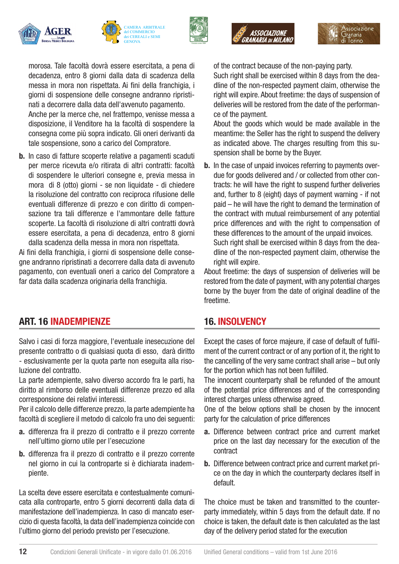







morosa. Tale facoltà dovrà essere esercitata, a pena di decadenza, entro 8 giorni dalla data di scadenza della messa in mora non rispettata. Ai fini della franchigia, i giorni di sospensione delle consegne andranno ripristinati a decorrere dalla data dell'avvenuto pagamento. Anche per la merce che, nel frattempo, venisse messa a disposizione, il Venditore ha la facoltà di sospendere la consegna come più sopra indicato. Gli oneri derivanti da tale sospensione, sono a carico del Compratore.

b. In caso di fatture scoperte relative a pagamenti scaduti per merce ricevuta e/o ritirata di altri contratti: facoltà di sospendere le ulteriori consegne e, previa messa in mora di 8 (otto) giorni - se non liquidate - di chiedere la risoluzione del contratto con reciproca rifusione delle eventuali differenze di prezzo e con diritto di compensazione tra tali differenze e l'ammontare delle fatture scoperte. La facoltà di risoluzione di altri contratti dovrà essere esercitata, a pena di decadenza, entro 8 giorni dalla scadenza della messa in mora non rispettata.

Ai fini della franchigia, i giorni di sospensione delle consegne andranno ripristinati a decorrere dalla data di avvenuto pagamento, con eventuali oneri a carico del Compratore a far data dalla scadenza originaria della franchigia.

#### ART. 16 INADEMPIENZE

Salvo i casi di forza maggiore, l'eventuale inesecuzione del presente contratto o di qualsiasi quota di esso, darà diritto - esclusivamente per la quota parte non eseguita alla risoluzione del contratto.

La parte adempiente, salvo diverso accordo fra le parti, ha diritto al rimborso delle eventuali differenze prezzo ed alla corresponsione dei relativi interessi.

Per il calcolo delle differenze prezzo, la parte adempiente ha facoltà di scegliere il metodo di calcolo fra uno dei seguenti:

- a. differenza fra il prezzo di contratto e il prezzo corrente nell'ultimo giorno utile per l'esecuzione
- b. differenza fra il prezzo di contratto e il prezzo corrente nel giorno in cui la controparte si è dichiarata inadempiente.

La scelta deve essere esercitata e contestualmente comunicata alla controparte, entro 5 giorni decorrenti dalla data di manifestazione dell'inadempienza. In caso di mancato esercizio di questa facoltà, la data dell'inadempienza coincide con l'ultimo giorno del periodo previsto per l'esecuzione.

of the contract because of the non-paying party.

Such right shall be exercised within 8 days from the deadline of the non-respected payment claim, otherwise the right will expire. About freetime: the days of suspension of deliveries will be restored from the date of the performance of the payment.

About the goods which would be made available in the meantime: the Seller has the right to suspend the delivery as indicated above. The charges resulting from this suspension shall be borne by the Buyer.

b. In the case of unpaid invoices referring to payments overdue for goods delivered and / or collected from other contracts: he will have the right to suspend further deliveries and, further to 8 (eight) days of payment warning - if not paid – he will have the right to demand the termination of the contract with mutual reimbursement of any potential price differences and with the right to compensation of these differences to the amount of the unpaid invoices. Such right shall be exercised within 8 days from the deadline of the non-respected payment claim, otherwise the right will expire.

About freetime: the days of suspension of deliveries will be restored from the date of payment, with any potential charges borne by the buyer from the date of original deadline of the freetime.

#### 16. INSOLVENCY

Except the cases of force majeure, if case of default of fulfilment of the current contract or of any portion of it, the right to the cancelling of the very same contract shall arise – but only for the portion which has not been fulfilled.

The innocent counterparty shall be refunded of the amount of the potential price differences and of the corresponding interest charges unless otherwise agreed.

One of the below options shall be chosen by the innocent party for the calculation of price differences

- a. Difference between contract price and current market price on the last day necessary for the execution of the contract
- b. Difference between contract price and current market price on the day in which the counterparty declares itself in default.

The choice must be taken and transmitted to the counterparty immediately, within 5 days from the default date. If no choice is taken, the default date is then calculated as the last day of the delivery period stated for the execution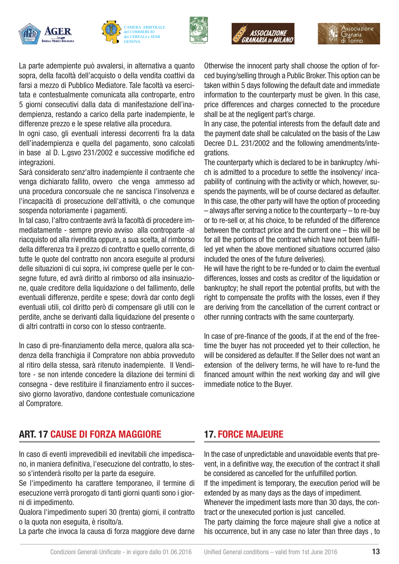







ssociazione

La parte adempiente può avvalersi, in alternativa a quanto sopra, della facoltà dell'acquisto o della vendita coattivi da farsi a mezzo di Pubblico Mediatore. Tale facoltà va esercitata e contestualmente comunicata alla controparte, entro 5 giorni consecutivi dalla data di manifestazione dell'inadempienza, restando a carico della parte inadempiente, le differenze prezzo e le spese relative alla procedura.

In ogni caso, gli eventuali interessi decorrenti fra la data dell'inadempienza e quella del pagamento, sono calcolati in base al D. L.gsvo 231/2002 e successive modifiche ed integrazioni.

Sarà considerato senz'altro inadempiente il contraente che venga dichiarato fallito, ovvero che venga ammesso ad una procedura concorsuale che ne sancisca l'insolvenza e l'incapacità di prosecuzione dell'attività, o che comunque sospenda notoriamente i pagamenti.

In tal caso, l'altro contraente avrà la facoltà di procedere immediatamente - sempre previo avviso alla controparte -al riacquisto od alla rivendita oppure, a sua scelta, al rimborso della differenza tra il prezzo di contratto e quello corrente, di tutte le quote del contratto non ancora eseguite al prodursi delle situazioni di cui sopra, ivi comprese quelle per le consegne future, ed avrà diritto al rimborso od alla insinuazione, quale creditore della liquidazione o del fallimento, delle eventuali differenze, perdite e spese; dovrà dar conto degli eventuali utili, col diritto però di compensare gli utili con le perdite, anche se derivanti dalla liquidazione del presente o di altri contratti in corso con lo stesso contraente.

In caso di pre-finanziamento della merce, qualora alla scadenza della franchigia il Compratore non abbia provveduto al ritiro della stessa, sarà ritenuto inadempiente. Il Venditore - se non intende concedere la dilazione dei termini di consegna - deve restituire il finanziamento entro il successivo giorno lavorativo, dandone contestuale comunicazione al Compratore.

#### Otherwise the innocent party shall choose the option of forced buying/selling through a Public Broker. This option can be taken within 5 days following the default date and immediate information to the counterparty must be given. In this case, price differences and charges connected to the procedure shall be at the negligent part's charge.

In any case, the potential interests from the default date and the payment date shall be calculated on the basis of the Law Decree D.L. 231/2002 and the following amendments/integrations.

The counterparty which is declared to be in bankruptcy /which is admitted to a procedure to settle the insolvency/ incapability of continuing with the activity or which, however, suspends the payments, will be of course declared as defaulter. In this case, the other party will have the option of proceeding – always after serving a notice to the counterparty – to re-buy or to re-sell or, at his choice, to be refunded of the difference between the contract price and the current one – this will be for all the portions of the contract which have not been fulfilled yet when the above mentioned situations occurred (also included the ones of the future deliveries).

He will have the right to be re-funded or to claim the eventual differences, losses and costs as creditor of the liquidation or bankruptcy; he shall report the potential profits, but with the right to compensate the profits with the losses, even if they are deriving from the cancellation of the current contract or other running contracts with the same counterparty.

In case of pre-finance of the goods, if at the end of the freetime the buyer has not proceeded yet to their collection, he will be considered as defaulter. If the Seller does not want an extension of the delivery terms, he will have to re-fund the financed amount within the next working day and will give immediate notice to the Buyer.

#### ART. 17 CAUSE DI FORZA MAGGIORE

In caso di eventi imprevedibili ed inevitabili che impediscano, in maniera definitiva, l'esecuzione del contratto, lo stesso s'intenderà risolto per la parte da eseguire.

Se l'impedimento ha carattere temporaneo, il termine di esecuzione verrà prorogato di tanti giorni quanti sono i giorni di impedimento.

Qualora l'impedimento superi 30 (trenta) giorni, il contratto o la quota non eseguita, è risolto/a.

La parte che invoca la causa di forza maggiore deve darne

#### 17. FORCE MAJEURE

In the case of unpredictable and unavoidable events that prevent, in a definitive way, the execution of the contract it shall be considered as cancelled for the unfulfilled portion.

If the impediment is temporary, the execution period will be extended by as many days as the days of impediment.

Whenever the impediment lasts more than 30 days, the contract or the unexecuted portion is just cancelled.

The party claiming the force majeure shall give a notice at his occurrence, but in any case no later than three days , to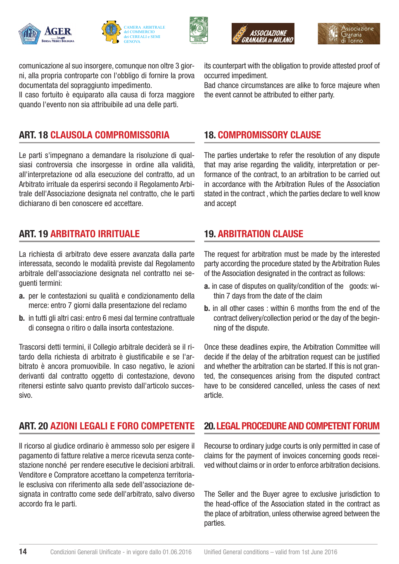









comunicazione al suo insorgere, comunque non oltre 3 giorni, alla propria controparte con l'obbligo di fornire la prova documentata del sopraggiunto impedimento.

Il caso fortuito è equiparato alla causa di forza maggiore quando l'evento non sia attribuibile ad una delle parti.

# ART. 18 CLAUSOLA COMPROMISSORIA

Le parti s'impegnano a demandare la risoluzione di qualsiasi controversia che insorgesse in ordine alla validità, all'interpretazione od alla esecuzione del contratto, ad un Arbitrato irrituale da esperirsi secondo il Regolamento Arbitrale dell'Associazione designata nel contratto, che le parti dichiarano di ben conoscere ed accettare.

# ART. 19 ARBITRATO IRRITUALE

La richiesta di arbitrato deve essere avanzata dalla parte interessata, secondo le modalità previste dal Regolamento arbitrale dell'associazione designata nel contratto nei seguenti termini:

- a. per le contestazioni su qualità e condizionamento della merce: entro 7 giorni dalla presentazione del reclamo
- b. in tutti gli altri casi: entro 6 mesi dal termine contrattuale di consegna o ritiro o dalla insorta contestazione.

Trascorsi detti termini, il Collegio arbitrale deciderà se il ritardo della richiesta di arbitrato è giustificabile e se l'arbitrato è ancora promuovibile. In caso negativo, le azioni derivanti dal contratto oggetto di contestazione, devono ritenersi estinte salvo quanto previsto dall'articolo successivo.

# ART. 20 AZIONI LEGALI E FORO COMPETENTE

Il ricorso al giudice ordinario è ammesso solo per esigere il pagamento di fatture relative a merce ricevuta senza contestazione nonché per rendere esecutive le decisioni arbitrali. Venditore e Compratore accettano la competenza territoriale esclusiva con riferimento alla sede dell'associazione designata in contratto come sede dell'arbitrato, salvo diverso accordo fra le parti.

14

its counterpart with the obligation to provide attested proof of occurred impediment.

Bad chance circumstances are alike to force majeure when the event cannot be attributed to either party.

# 18. COMPROMISSORY CLAUSE

The parties undertake to refer the resolution of any dispute that may arise regarding the validity, interpretation or performance of the contract, to an arbitration to be carried out in accordance with the Arbitration Rules of the Association stated in the contract , which the parties declare to well know and accept

#### 19. ARBITRATION CLAUSE

The request for arbitration must be made by the interested party according the procedure stated by the Arbitration Rules of the Association designated in the contract as follows:

- a. in case of disputes on quality/condition of the goods: within 7 days from the date of the claim
- **b.** in all other cases : within 6 months from the end of the contract delivery/collection period or the day of the beginning of the dispute.

Once these deadlines expire, the Arbitration Committee will decide if the delay of the arbitration request can be justified and whether the arbitration can be started. If this is not granted, the consequences arising from the disputed contract have to be considered cancelled, unless the cases of next article.

#### 20. LEGAL PROCEDURE AND COMPETENT FORUM

Recourse to ordinary judge courts is only permitted in case of claims for the payment of invoices concerning goods received without claims or in order to enforce arbitration decisions.

The Seller and the Buyer agree to exclusive jurisdiction to the head-office of the Association stated in the contract as the place of arbitration, unless otherwise agreed between the parties.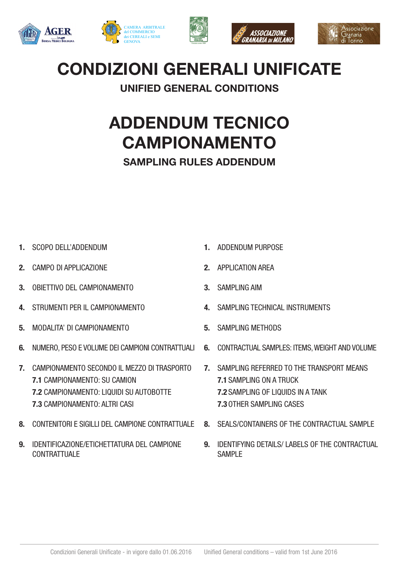









# CONDIZIONI GENERALI UNIFICATE

# UNIFIED GENERAL CONDITIONS

# ADDENDUM TECNICO CAMPIONAMENTO SAMPLING RULES ADDENDUM

- 1. SCOPO DELL'ADDENDUM
- 2. CAMPO DI APPLICAZIONE
- 3. OBIETTIVO DEL CAMPIONAMENTO
- 4. STRUMENTI PER IL CAMPIONAMENTO
- 5. MODALITA' DI CAMPIONAMENTO
- 6. NUMERO, PESO E VOLUME DEI CAMPIONI CONTRATTUALI
- 7. CAMPIONAMENTO SECONDO IL MEZZO DI TRASPORTO 7.1 CAMPIONAMENTO: SU CAMION 7.2 CAMPIONAMENTO: LIQUIDI SU AUTOBOTTE 7.3 CAMPIONAMENTO: ALTRI CASI
- 8. CONTENITORI E SIGILLI DEL CAMPIONE CONTRATTUALE
- 9. IDENTIFICAZIONE/ETICHETTATURA DEL CAMPIONE **CONTRATTUALE**
- 1. ADDENDUM PURPOSE
- 2. APPLICATION AREA
- 3. SAMPLING AIM
- 4. SAMPLING TECHNICAL INSTRUMENTS
- 5. SAMPLING METHODS
- 6. CONTRACTUAL SAMPLES: ITEMS, WEIGHT AND VOLUME
- 7. SAMPLING REFERRED TO THE TRANSPORT MEANS 7.1 SAMPLING ON A TRUCK 7.2 SAMPLING OF LIQUIDS IN A TANK 7.3 OTHER SAMPLING CASES
- 8. SEALS/CONTAINERS OF THE CONTRACTUAL SAMPLE
- 9. IDENTIFYING DETAILS/ LABELS OF THE CONTRACTUAL SAMPLE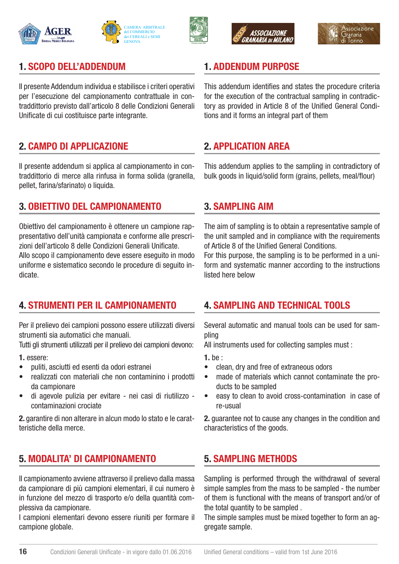









#### 1. SCOPO DELL'ADDENDUM

Il presente Addendum individua e stabilisce i criteri operativi per l'esecuzione del campionamento contrattuale in contraddittorio previsto dall'articolo 8 delle Condizioni Generali Unificate di cui costituisce parte integrante.

#### 2. CAMPO DI APPLICAZIONE

Il presente addendum si applica al campionamento in contraddittorio di merce alla rinfusa in forma solida (granella, pellet, farina/sfarinato) o liquida.

#### 3. OBIETTIVO DEL CAMPIONAMENTO

Obiettivo del campionamento è ottenere un campione rappresentativo dell'unità campionata e conforme alle prescrizioni dell'articolo 8 delle Condizioni Generali Unificate.

Allo scopo il campionamento deve essere eseguito in modo uniforme e sistematico secondo le procedure di seguito indicate.

#### 4. STRUMENTI PER IL CAMPIONAMENTO

Per il prelievo dei campioni possono essere utilizzati diversi strumenti sia automatici che manuali.

Tutti gli strumenti utilizzati per il prelievo dei campioni devono:

1. essere:

- puliti, asciutti ed esenti da odori estranei
- realizzati con materiali che non contaminino i prodotti da campionare
- di agevole pulizia per evitare nei casi di riutilizzo contaminazioni crociate

2. garantire di non alterare in alcun modo lo stato e le caratteristiche della merce.

# 5. MODALITA' DI CAMPIONAMENTO

Il campionamento avviene attraverso il prelievo dalla massa da campionare di più campioni elementari, il cui numero è in funzione del mezzo di trasporto e/o della quantità complessiva da campionare.

I campioni elementari devono essere riuniti per formare il campione globale.

# 1. ADDENDUM PURPOSE

This addendum identifies and states the procedure criteria for the execution of the contractual sampling in contradictory as provided in Article 8 of the Unified General Conditions and it forms an integral part of them

# 2. APPLICATION AREA

This addendum applies to the sampling in contradictory of bulk goods in liquid/solid form (grains, pellets, meal/flour)

#### 3. SAMPLING AIM

The aim of sampling is to obtain a representative sample of the unit sampled and in compliance with the requirements of Article 8 of the Unified General Conditions.

For this purpose, the sampling is to be performed in a uniform and systematic manner according to the instructions listed here below

#### 4. SAMPLING AND TECHNICAL TOOLS

Several automatic and manual tools can be used for sampling

All instruments used for collecting samples must :

1. be :

- clean, dry and free of extraneous odors
- made of materials which cannot contaminate the products to be sampled
- easy to clean to avoid cross-contamination in case of re-usual

2. guarantee not to cause any changes in the condition and characteristics of the goods.

#### 5. SAMPLING METHODS

Sampling is performed through the withdrawal of several simple samples from the mass to be sampled - the number of them is functional with the means of transport and/or of the total quantity to be sampled .

The simple samples must be mixed together to form an aggregate sample.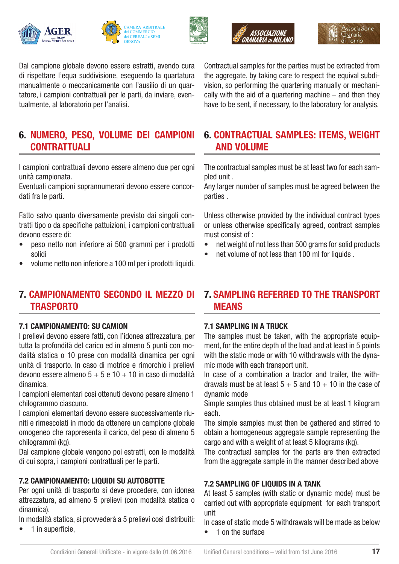







Dal campione globale devono essere estratti, avendo cura di rispettare l'equa suddivisione, eseguendo la quartatura manualmente o meccanicamente con l'ausilio di un quartatore, i campioni contrattuali per le parti, da inviare, eventualmente, al laboratorio per l'analisi.

# 6. NUMERO, PESO, VOLUME DEI CAMPIONI **CONTRATTUALI**

I campioni contrattuali devono essere almeno due per ogni unità campionata.

Eventuali campioni soprannumerari devono essere concordati fra le parti.

Fatto salvo quanto diversamente previsto dai singoli contratti tipo o da specifiche pattuizioni, i campioni contrattuali devono essere di:

- peso netto non inferiore ai 500 grammi per i prodotti solidi
- volume netto non inferiore a 100 ml per i prodotti liquidi.

#### 7. CAMPIONAMENTO SECONDO IL MEZZO DI **TRASPORTO**

#### 7.1 CAMPIONAMENTO: SU CAMION

I prelievi devono essere fatti, con l'idonea attrezzatura, per tutta la profondità del carico ed in almeno 5 punti con modalità statica o 10 prese con modalità dinamica per ogni unità di trasporto. In caso di motrice e rimorchio i prelievi devono essere almeno 5 + 5 e 10 + 10 in caso di modalità dinamica.

I campioni elementari così ottenuti devono pesare almeno 1 chilogrammo ciascuno.

I campioni elementari devono essere successivamente riuniti e rimescolati in modo da ottenere un campione globale omogeneo che rappresenta il carico, del peso di almeno 5 chilogrammi (kg).

Dal campione globale vengono poi estratti, con le modalità di cui sopra, i campioni contrattuali per le parti.

#### 7.2 CAMPIONAMENTO: LIQUIDI SU AUTOBOTTE

Per ogni unità di trasporto si deve procedere, con idonea attrezzatura, ad almeno 5 prelievi (con modalità statica o dinamica).

In modalità statica, si provvederà a 5 prelievi così distribuiti:

• 1 in superficie,

Contractual samples for the parties must be extracted from the aggregate, by taking care to respect the equival subdivision, so performing the quartering manually or mechanically with the aid of a quartering machine – and then they have to be sent, if necessary, to the laboratory for analysis.

#### 6. CONTRACTUAL SAMPLES: ITEMS, WEIGHT AND VOLUME

The contractual samples must be at least two for each sampled unit .

Any larger number of samples must be agreed between the parties .

Unless otherwise provided by the individual contract types or unless otherwise specifically agreed, contract samples must consist of :

- net weight of not less than 500 grams for solid products
- net volume of not less than 100 ml for liquids.

#### 7. SAMPLING REFERRED TO THE TRANSPORT MEANS

#### 7.1 SAMPLING IN A TRUCK

The samples must be taken, with the appropriate equipment, for the entire depth of the load and at least in 5 points with the static mode or with 10 withdrawals with the dynamic mode with each transport unit.

In case of a combination a tractor and trailer, the withdrawals must be at least  $5 + 5$  and  $10 + 10$  in the case of dynamic mode

Simple samples thus obtained must be at least 1 kilogram each.

The simple samples must then be gathered and stirred to obtain a homogeneous aggregate sample representing the cargo and with a weight of at least 5 kilograms (kg).

The contractual samples for the parts are then extracted from the aggregate sample in the manner described above

#### 7.2 SAMPLING OF LIQUIDS IN A TANK

At least 5 samples (with static or dynamic mode) must be carried out with appropriate equipment for each transport unit

In case of static mode 5 withdrawals will be made as below

• 1 on the surface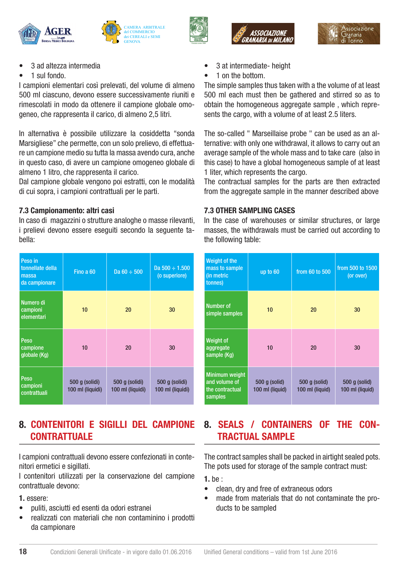







- 3 ad altezza intermedia
- 1 sul fondo.

I campioni elementari così prelevati, del volume di almeno 500 ml ciascuno, devono essere successivamente riuniti e rimescolati in modo da ottenere il campione globale omogeneo, che rappresenta il carico, di almeno 2,5 litri.

In alternativa è possibile utilizzare la cosiddetta "sonda Marsigliese" che permette, con un solo prelievo, di effettuare un campione medio su tutta la massa avendo cura, anche in questo caso, di avere un campione omogeneo globale di almeno 1 litro, che rappresenta il carico.

Dal campione globale vengono poi estratti, con le modalità di cui sopra, i campioni contrattuali per le parti.

#### 7.3 Campionamento: altri casi

In caso di magazzini o strutture analoghe o masse rilevanti, i prelievi devono essere eseguiti secondo la seguente tabella:

| Peso in<br>tonnellate della<br>massa<br>da campionare | Fino a 60                          | Da $60 \div 500$                   | Da $500 \div 1.500$<br>(o superiore) |
|-------------------------------------------------------|------------------------------------|------------------------------------|--------------------------------------|
| Numero di<br>campioni<br>elementari                   | 10 <sup>1</sup>                    | 20                                 | 30                                   |
| Peso<br>campione<br>globale (Kg)                      | 10                                 | 20                                 | 30                                   |
| Peso<br>campioni<br>contrattuali                      | 500 g (solidi)<br>100 ml (liquidi) | 500 g (solidi)<br>100 ml (liquidi) | 500 g (solidi)<br>100 ml (liquidi)   |

# 8. CONTENITORI E SIGILLI DEL CAMPIONE **CONTRATTUALE**

I campioni contrattuali devono essere confezionati in contenitori ermetici e sigillati.

I contenitori utilizzati per la conservazione del campione contrattuale devono:

#### 1. essere:

- puliti, asciutti ed esenti da odori estranei
- realizzati con materiali che non contaminino i prodotti da campionare
- 3 at intermediate- height
- 1 on the bottom.

The simple samples thus taken with a the volume of at least 500 ml each must then be gathered and stirred so as to obtain the homogeneous aggregate sample , which represents the cargo, with a volume of at least 2.5 liters.

The so-called " Marseillaise probe " can be used as an alternative: with only one withdrawal, it allows to carry out an average sample of the whole mass and to take care (also in this case) to have a global homogeneous sample of at least 1 liter, which represents the cargo.

The contractual samples for the parts are then extracted from the aggregate sample in the manner described above

#### 7.3 OTHER SAMPLING CASES

In the case of warehouses or similar structures, or large masses, the withdrawals must be carried out according to the following table:

| Weight of the<br>mass to sample<br>(in metric<br>tonnes)             | up to 60                         | from 60 to 500                   | from 500 to 1500<br>(or over)    |
|----------------------------------------------------------------------|----------------------------------|----------------------------------|----------------------------------|
| Number of<br>simple samples                                          | 10                               | 20                               | 30                               |
| <b>Weight of</b><br>aggregate<br>sample (Kg)                         | 10                               | 20                               | 30                               |
| <b>Minimum weight</b><br>and volume of<br>the contractual<br>samples | 500 g (solid)<br>100 ml (liquid) | 500 g (solid)<br>100 ml (liquid) | 500 g (solid)<br>100 ml (liquid) |

# 8. SEALS / CONTAINERS OF THE CON-TRACTUAL SAMPLE

The contract samples shall be packed in airtight sealed pots. The pots used for storage of the sample contract must:

1. be :

- clean, dry and free of extraneous odors
- made from materials that do not contaminate the products to be sampled